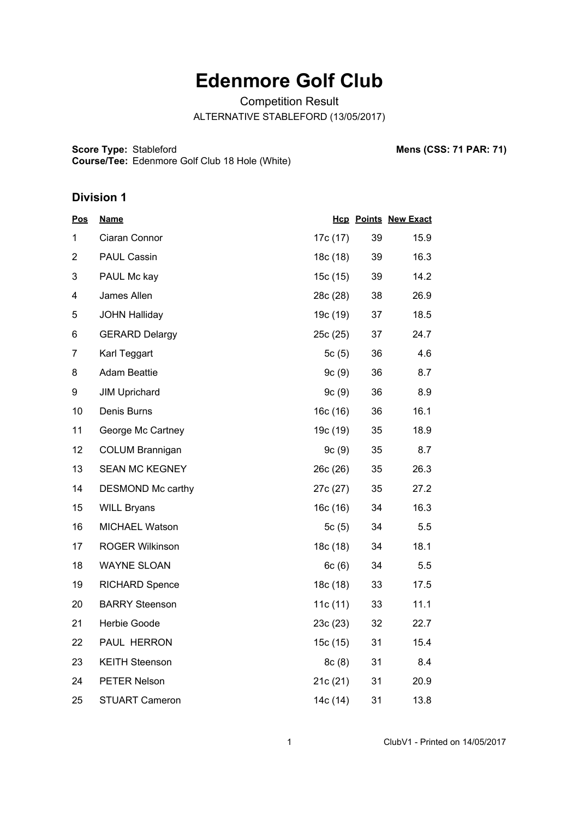## **Edenmore Golf Club**

Competition Result ALTERNATIVE STABLEFORD (13/05/2017)

**Score Type: Course/Tee:** Stableford **Mens (CSS: 71 PAR: 71)** Edenmore Golf Club 18 Hole (White)

## **Division 1**

| <u>Pos</u>     | <u>Name</u>            |          |    | <b>Hcp Points New Exact</b> |
|----------------|------------------------|----------|----|-----------------------------|
| 1              | Ciaran Connor          | 17c (17) | 39 | 15.9                        |
| $\overline{2}$ | <b>PAUL Cassin</b>     | 18c (18) | 39 | 16.3                        |
| 3              | PAUL Mc kay            | 15c(15)  | 39 | 14.2                        |
| 4              | James Allen            | 28c (28) | 38 | 26.9                        |
| 5              | <b>JOHN Halliday</b>   | 19c (19) | 37 | 18.5                        |
| 6              | <b>GERARD Delargy</b>  | 25c (25) | 37 | 24.7                        |
| $\overline{7}$ | Karl Teggart           | 5 $c(5)$ | 36 | 4.6                         |
| 8              | <b>Adam Beattie</b>    | 9c(9)    | 36 | 8.7                         |
| 9              | <b>JIM Uprichard</b>   | 9c(9)    | 36 | 8.9                         |
| 10             | Denis Burns            | 16c(16)  | 36 | 16.1                        |
| 11             | George Mc Cartney      | 19c (19) | 35 | 18.9                        |
| 12             | <b>COLUM Brannigan</b> | 9c(9)    | 35 | 8.7                         |
| 13             | <b>SEAN MC KEGNEY</b>  | 26c(26)  | 35 | 26.3                        |
| 14             | DESMOND Mc carthy      | 27c (27) | 35 | 27.2                        |
| 15             | <b>WILL Bryans</b>     | 16c (16) | 34 | 16.3                        |
| 16             | <b>MICHAEL Watson</b>  | 5c(5)    | 34 | 5.5                         |
| 17             | <b>ROGER Wilkinson</b> | 18c(18)  | 34 | 18.1                        |
| 18             | <b>WAYNE SLOAN</b>     | 6c(6)    | 34 | 5.5                         |
| 19             | <b>RICHARD Spence</b>  | 18c (18) | 33 | 17.5                        |
| 20             | <b>BARRY Steenson</b>  | 11c(11)  | 33 | 11.1                        |
| 21             | Herbie Goode           | 23c (23) | 32 | 22.7                        |
| 22             | PAUL HERRON            | 15c(15)  | 31 | 15.4                        |
| 23             | <b>KEITH Steenson</b>  | 8c(8)    | 31 | 8.4                         |
| 24             | <b>PETER Nelson</b>    | 21c (21) | 31 | 20.9                        |
| 25             | <b>STUART Cameron</b>  | 14c(14)  | 31 | 13.8                        |

1 ClubV1 - Printed on 14/05/2017